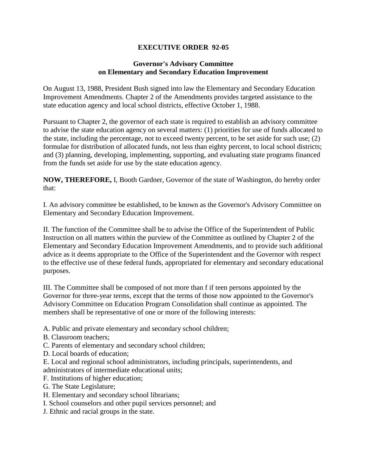## **EXECUTIVE ORDER 92-05**

## **Governor's Advisory Committee on Elementary and Secondary Education Improvement**

On August 13, 1988, President Bush signed into law the Elementary and Secondary Education Improvement Amendments. Chapter 2 of the Amendments provides targeted assistance to the state education agency and local school districts, effective October 1, 1988.

Pursuant to Chapter 2, the governor of each state is required to establish an advisory committee to advise the state education agency on several matters: (1) priorities for use of funds allocated to the state, including the percentage, not to exceed twenty percent, to be set aside for such use; (2) formulae for distribution of allocated funds, not less than eighty percent, to local school districts; and (3) planning, developing, implementing, supporting, and evaluating state programs financed from the funds set aside for use by the state education agency.

**NOW, THEREFORE,** I, Booth Gardner, Governor of the state of Washington, do hereby order that:

I. An advisory committee be established, to be known as the Governor's Advisory Committee on Elementary and Secondary Education Improvement.

II. The function of the Committee shall be to advise the Office of the Superintendent of Public Instruction on all matters within the purview of the Committee as outlined by Chapter 2 of the Elementary and Secondary Education Improvement Amendments, and to provide such additional advice as it deems appropriate to the Office of the Superintendent and the Governor with respect to the effective use of these federal funds, appropriated for elementary and secondary educational purposes.

III. The Committee shall be composed of not more than f if teen persons appointed by the Governor for three-year terms, except that the terms of those now appointed to the Governor's Advisory Committee on Education Program Consolidation shall continue as appointed. The members shall be representative of one or more of the following interests:

A. Public and private elementary and secondary school children;

- B. Classroom teachers;
- C. Parents of elementary and secondary school children;
- D. Local boards of education;

E. Local and regional school administrators, including principals, superintendents, and administrators of intermediate educational units;

F. Institutions of higher education;

G. The State Legislature;

- H. Elementary and secondary school librarians;
- I. School counselors and other pupil services personnel; and
- J. Ethnic and racial groups in the state.